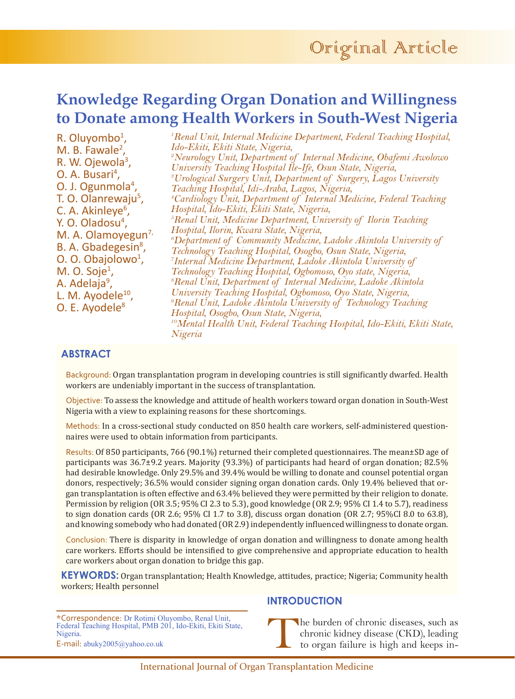# **Knowledge Regarding Organ Donation and Willingness to Donate among Health Workers in South-West Nigeria**

R. Oluyombo<sup>1</sup>, M. B. Fawale $^2$ , R. W. Ojewola<sup>3</sup>, O. A. Busari<sup>4</sup>, O. J. Ogunmola<sup>4</sup>, T. O. Olanrewaju<sup>5</sup>, C. A. Akinleye<sup>6</sup>, Y. O. Oladosu<sup>4</sup>, M. A. Olamoyegun<sup>7,</sup> B. A. Gbadegesin<sup>8</sup>, O. O. Obajolowo<sup>1</sup>,  $M. O. Soje<sup>1</sup>$ , A. Adelaja<sup>9</sup>, L. M. Ayodele<sup>10</sup>, O. E. Ayodele<sup>8</sup> *1 Renal Unit, Internal Medicine Department, Federal Teaching Hospital, Ido-Ekiti, Ekiti State, Nigeria, 2 Neurology Unit, Department of Internal Medicine, Obafemi Awolowo University Teaching Hospital Ile-Ife, Osun State, Nigeria, 3 Urological Surgery Unit, Department of Surgery, Lagos University Teaching Hospital, Idi-Araba, Lagos, Nigeria, 4 Cardiology Unit, Department of Internal Medicine, Federal Teaching Hospital, Ido-Ekiti, Ekiti State, Nigeria, 5 Renal Unit, Medicine Department, University of Ilorin Teaching Hospital, Ilorin, Kwara State, Nigeria, 6 Department of Community Medicine, Ladoke Akintola University of Technology Teaching Hospital, Osogbo, Osun State, Nigeria, 7 Internal Medicine Department, Ladoke Akintola University of Technology Teaching Hospital, Ogbomoso, Oyo state, Nigeria, 8 Renal Unit, Department of Internal Medicine, Ladoke Akintola University Teaching Hospital, Ogbomoso, Oyo State, Nigeria, 9 Renal Unit, Ladoke Akintola University of Technology Teaching Hospital, Osogbo, Osun State, Nigeria, 10Mental Health Unit, Federal Teaching Hospital, Ido-Ekiti, Ekiti State, Nigeria*

# **ABSTRACT**

Background: Organ transplantation program in developing countries is still significantly dwarfed. Health workers are undeniably important in the success of transplantation.

Objective: To assess the knowledge and attitude of health workers toward organ donation in South-West Nigeria with a view to explaining reasons for these shortcomings.

Methods: In a cross-sectional study conducted on 850 health care workers, self-administered questionnaires were used to obtain information from participants.

Results: Of 850 participants, 766 (90.1%) returned their completed questionnaires. The mean±SD age of participants was 36.7±9.2 years. Majority (93.3%) of participants had heard of organ donation; 82.5% had desirable knowledge. Only 29.5% and 39.4% would be willing to donate and counsel potential organ donors, respectively; 36.5% would consider signing organ donation cards. Only 19.4% believed that organ transplantation is often effective and 63.4% believed they were permitted by their religion to donate. Permission by religion (OR 3.5; 95% CI 2.3 to 5.3), good knowledge (OR 2.9; 95% CI 1.4 to 5.7), readiness to sign donation cards (OR 2.6; 95% CI 1.7 to 3.8), discuss organ donation (OR 2.7; 95%CI 8.0 to 63.8), and knowing somebody who had donated (OR 2.9) independently influenced willingness to donate organ.

Conclusion: There is disparity in knowledge of organ donation and willingness to donate among health care workers. Efforts should be intensified to give comprehensive and appropriate education to health care workers about organ donation to bridge this gap.

**KEYWORDS:** Organ transplantation; Health Knowledge, attitudes, practice; Nigeria; Community health workers; Health personnel

\*Correspondence: Dr Rotimi Oluyombo, Renal Unit, Federal Teaching Hospital, PMB 201, Ido-Ekiti, Ekiti State, Nigeria. E-mail: abuky2005@yahoo.co.uk

# **INTRODUCTION**

The burden of chronic diseases, such as chronic kidney disease (CKD), leading to organ failure is high and keeps in-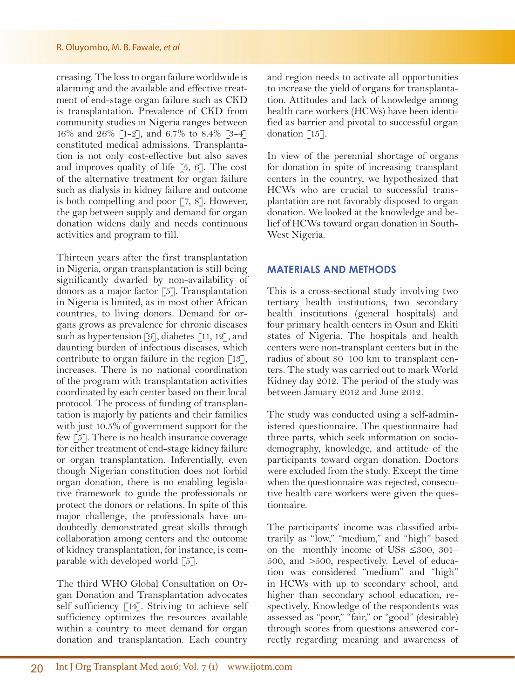#### R. Oluyombo, M. B. Fawale, *et al*

creasing. The loss to organ failure worldwide is alarming and the available and effective treatment of end-stage organ failure such as CKD is transplantation. Prevalence of CKD from community studies in Nigeria ranges between 16% and 26% [1-2], and 6.7% to 8.4% [3-4] constituted medical admissions. Transplantation is not only cost-effective but also saves and improves quality of life  $[5, 6]$ . The cost of the alternative treatment for organ failure such as dialysis in kidney failure and outcome is both compelling and poor [7, 8]. However, the gap between supply and demand for organ donation widens daily and needs continuous activities and program to fill.

Thirteen years after the first transplantation in Nigeria, organ transplantation is still being significantly dwarfed by non-availability of donors as a major factor [5]. Transplantation in Nigeria is limited, as in most other African countries, to living donors. Demand for organs grows as prevalence for chronic diseases such as hypertension [9], diabetes [11, 12], and daunting burden of infectious diseases, which contribute to organ failure in the region  $\lceil 13 \rceil$ , increases. There is no national coordination of the program with transplantation activities coordinated by each center based on their local protocol. The process of funding of transplantation is majorly by patients and their families with just 10.5% of government support for the few [5]. There is no health insurance coverage for either treatment of end-stage kidney failure or organ transplantation. Inferentially, even though Nigerian constitution does not forbid organ donation, there is no enabling legislative framework to guide the professionals or protect the donors or relations. In spite of this major challenge, the professionals have undoubtedly demonstrated great skills through collaboration among centers and the outcome of kidney transplantation, for instance, is comparable with developed world [5].

The third WHO Global Consultation on Organ Donation and Transplantation advocates self sufficiency [14]. Striving to achieve self sufficiency optimizes the resources available within a country to meet demand for organ donation and transplantation. Each country and region needs to activate all opportunities to increase the yield of organs for transplantation. Attitudes and lack of knowledge among health care workers (HCWs) have been identified as barrier and pivotal to successful organ donation [15].

In view of the perennial shortage of organs for donation in spite of increasing transplant centers in the country, we hypothesized that HCWs who are crucial to successful transplantation are not favorably disposed to organ donation. We looked at the knowledge and belief of HCWs toward organ donation in South-West Nigeria.

## **MATERIALS AND METHODS**

This is a cross-sectional study involving two tertiary health institutions, two secondary health institutions (general hospitals) and four primary health centers in Osun and Ekiti states of Nigeria. The hospitals and health centers were non-transplant centers but in the radius of about 80–100 km to transplant centers. The study was carried out to mark World Kidney day 2012. The period of the study was between January 2012 and June 2012.

The study was conducted using a self-administered questionnaire. The questionnaire had three parts, which seek information on sociodemography, knowledge, and attitude of the participants toward organ donation. Doctors were excluded from the study. Except the time when the questionnaire was rejected, consecutive health care workers were given the questionnaire.

The participants' income was classified arbitrarily as "low," "medium," and "high" based on the monthly income of US\$ ≤300, 301– 500, and >500, respectively. Level of education was considered "medium" and "high" in HCWs with up to secondary school, and higher than secondary school education, respectively. Knowledge of the respondents was assessed as "poor," "fair," or "good" (desirable) through scores from questions answered correctly regarding meaning and awareness of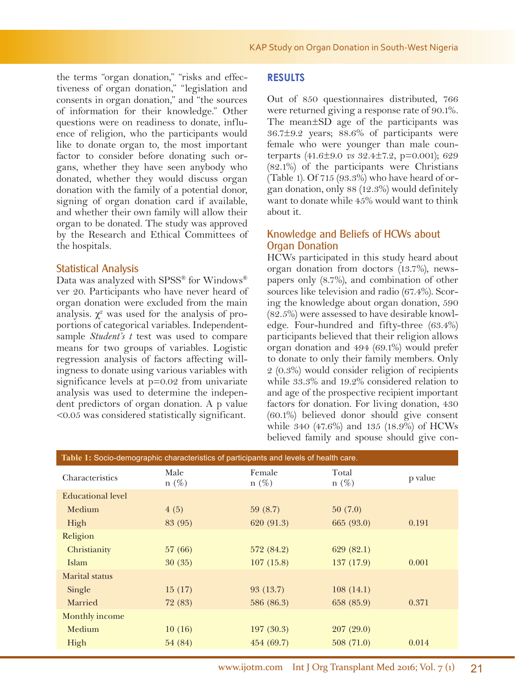the terms "organ donation," "risks and effectiveness of organ donation," "legislation and consents in organ donation," and "the sources of information for their knowledge." Other questions were on readiness to donate, influence of religion, who the participants would like to donate organ to, the most important factor to consider before donating such organs, whether they have seen anybody who donated, whether they would discuss organ donation with the family of a potential donor, signing of organ donation card if available, and whether their own family will allow their organ to be donated. The study was approved by the Research and Ethical Committees of the hospitals.

#### Statistical Analysis

Data was analyzed with SPSS® for Windows® ver 20. Participants who have never heard of organ donation were excluded from the main analysis.  $\chi^2$  was used for the analysis of proportions of categorical variables. Independentsample *Student's t* test was used to compare means for two groups of variables. Logistic regression analysis of factors affecting willingness to donate using various variables with significance levels at p=0.02 from univariate analysis was used to determine the independent predictors of organ donation. A p value <0.05 was considered statistically significant.

## **RESULTS**

Out of 850 questionnaires distributed, 766 were returned giving a response rate of 90.1%. The mean±SD age of the participants was 36.7±9.2 years; 88.6% of participants were female who were younger than male counterparts (41.6±9.0 *vs* 32.4±7.2, p=0.001); 629 (82.1%) of the participants were Christians (Table 1). Of  $715$  (93.3%) who have heard of organ donation, only 88 (12.3%) would definitely want to donate while 45% would want to think about it.

## Knowledge and Beliefs of HCWs about Organ Donation

HCWs participated in this study heard about organ donation from doctors (13.7%), newspapers only (8.7%), and combination of other sources like television and radio (67.4%). Scoring the knowledge about organ donation, 590 (82.5%) were assessed to have desirable knowledge. Four-hundred and fifty-three (63.4%) participants believed that their religion allows organ donation and 494 (69.1%) would prefer to donate to only their family members. Only 2 (0.3%) would consider religion of recipients while 33.3% and 19.2% considered relation to and age of the prospective recipient important factors for donation. For living donation, 430 (60.1%) believed donor should give consent while 340 (47.6%) and 135 (18.9%) of HCWs believed family and spouse should give con-

| Table 1: Socio-demographic characteristics of participants and levels of health care. |                 |                   |                  |         |  |  |
|---------------------------------------------------------------------------------------|-----------------|-------------------|------------------|---------|--|--|
| Characteristics                                                                       | Male<br>$n(\%)$ | Female<br>$n(\%)$ | Total<br>$n(\%)$ | p value |  |  |
| <b>Educational level</b>                                                              |                 |                   |                  |         |  |  |
| Medium                                                                                | 4(5)            | 59(8.7)           | 50(7.0)          |         |  |  |
| High                                                                                  | 83 (95)         | 620 (91.3)        | 665 (93.0)       | 0.191   |  |  |
| Religion                                                                              |                 |                   |                  |         |  |  |
| Christianity                                                                          | 57 (66)         | 572 (84.2)        | 629(82.1)        |         |  |  |
| Islam                                                                                 | 30(35)          | 107(15.8)         | 137 (17.9)       | 0.001   |  |  |
| Marital status                                                                        |                 |                   |                  |         |  |  |
| Single                                                                                | 15(17)          | 93 (13.7)         | 108(14.1)        |         |  |  |
| Married                                                                               | 72 (83)         | 586 (86.3)        | 658 (85.9)       | 0.371   |  |  |
| Monthly income                                                                        |                 |                   |                  |         |  |  |
| Medium                                                                                | 10(16)          | 197(30.3)         | 207(29.0)        |         |  |  |
| High                                                                                  | 54 (84)         | 454 (69.7)        | 508(71.0)        | 0.014   |  |  |
|                                                                                       |                 |                   |                  |         |  |  |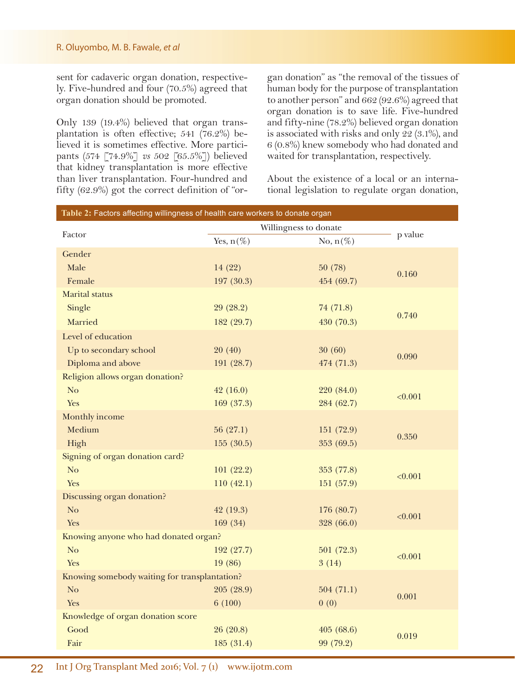#### R. Oluyombo, M. B. Fawale, *et al*

sent for cadaveric organ donation, respectively. Five-hundred and four (70.5%) agreed that organ donation should be promoted.

Only 139 (19.4%) believed that organ transplantation is often effective; 541 (76.2%) believed it is sometimes effective. More participants (574 [74.9%] *vs* 502 [65.5%]) believed that kidney transplantation is more effective than liver transplantation. Four-hundred and fifty (62.9%) got the correct definition of "or-

gan donation" as "the removal of the tissues of human body for the purpose of transplantation to another person" and 662 (92.6%) agreed that organ donation is to save life. Five-hundred and fifty-nine (78.2%) believed organ donation is associated with risks and only 22 (3.1%), and 6 (0.8%) knew somebody who had donated and waited for transplantation, respectively.

About the existence of a local or an international legislation to regulate organ donation,

| Table 2: Factors affecting willingness of health care workers to donate organ |                       |             |         |  |  |  |
|-------------------------------------------------------------------------------|-----------------------|-------------|---------|--|--|--|
|                                                                               | Willingness to donate |             |         |  |  |  |
| Factor                                                                        | Yes, $n(\%)$          | No, $n(\%)$ | p value |  |  |  |
| Gender                                                                        |                       |             |         |  |  |  |
| Male                                                                          | 14 (22)               | 50(78)      |         |  |  |  |
| Female                                                                        | 197 (30.3)            | 454 (69.7)  | 0.160   |  |  |  |
| <b>Marital</b> status                                                         |                       |             |         |  |  |  |
| Single                                                                        | 29(28.2)              | 74 (71.8)   |         |  |  |  |
| Married                                                                       | 182 (29.7)            | 430 (70.3)  | 0.740   |  |  |  |
| Level of education                                                            |                       |             |         |  |  |  |
| Up to secondary school                                                        | 20(40)                | 30(60)      |         |  |  |  |
| Diploma and above                                                             | 191 (28.7)            | 474 (71.3)  | 0.090   |  |  |  |
| Religion allows organ donation?                                               |                       |             |         |  |  |  |
| No                                                                            | 42(16.0)              | 220 (84.0)  | < 0.001 |  |  |  |
| Yes                                                                           | 169(37.3)             | 284 (62.7)  |         |  |  |  |
| Monthly income                                                                |                       |             |         |  |  |  |
| Medium                                                                        | 56(27.1)              | 151 (72.9)  | 0.350   |  |  |  |
| High                                                                          | 155(30.5)             | 353 (69.5)  |         |  |  |  |
| Signing of organ donation card?                                               |                       |             |         |  |  |  |
| N <sub>o</sub>                                                                | 101(22.2)             | 353 (77.8)  | < 0.001 |  |  |  |
| Yes                                                                           | 110(42.1)             | 151 (57.9)  |         |  |  |  |
| Discussing organ donation?                                                    |                       |             |         |  |  |  |
| N <sub>o</sub>                                                                | 42(19.3)              | 176 (80.7)  | < 0.001 |  |  |  |
| Yes                                                                           | 169 (34)              | 328 (66.0)  |         |  |  |  |
| Knowing anyone who had donated organ?                                         |                       |             |         |  |  |  |
| N <sub>o</sub>                                                                | 192 (27.7)            | 501(72.3)   | < 0.001 |  |  |  |
| Yes                                                                           | 19 (86)               | 3(14)       |         |  |  |  |
| Knowing somebody waiting for transplantation?                                 |                       |             |         |  |  |  |
| N <sub>o</sub>                                                                | 205 (28.9)            | 504(71.1)   | 0.001   |  |  |  |
| Yes                                                                           | 6(100)                | 0(0)        |         |  |  |  |
| Knowledge of organ donation score                                             |                       |             |         |  |  |  |
| Good                                                                          | 26(20.8)              | 405(68.6)   | 0.019   |  |  |  |
| Fair                                                                          | 185 (31.4)            | 99 (79.2)   |         |  |  |  |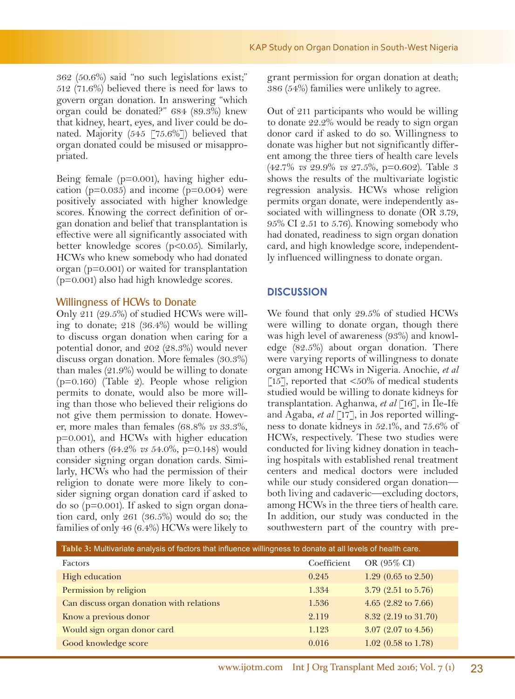362 (50.6%) said "no such legislations exist;" 512 (71.6%) believed there is need for laws to govern organ donation. In answering "which organ could be donated?" 684 (89.3%) knew that kidney, heart, eyes, and liver could be donated. Majority (545  $\lceil 75.6\% \rceil$ ) believed that organ donated could be misused or misappropriated.

Being female (p=0.001), having higher education ( $p=0.035$ ) and income ( $p=0.004$ ) were positively associated with higher knowledge scores. Knowing the correct definition of organ donation and belief that transplantation is effective were all significantly associated with better knowledge scores (p<0.05). Similarly, HCWs who knew somebody who had donated organ (p=0.001) or waited for transplantation  $(p=0.001)$  also had high knowledge scores.

## Willingness of HCWs to Donate

Only 211 (29.5%) of studied HCWs were willing to donate; 218 (36.4%) would be willing to discuss organ donation when caring for a potential donor, and 202 (28.3%) would never discuss organ donation. More females (30.3%) than males (21.9%) would be willing to donate (p=0.160) (Table 2). People whose religion permits to donate, would also be more willing than those who believed their religions do not give them permission to donate. However, more males than females (68.8% *vs* 33.3%, p=0.001), and HCWs with higher education than others (64.2% *vs* 54.0%, p=0.148) would consider signing organ donation cards. Similarly, HCWs who had the permission of their religion to donate were more likely to consider signing organ donation card if asked to do so (p=0.001). If asked to sign organ donation card, only 261 (36.5%) would do so; the families of only 46 (6.4%) HCWs were likely to

grant permission for organ donation at death; 386 (54%) families were unlikely to agree.

Out of 211 participants who would be willing to donate 22.2% would be ready to sign organ donor card if asked to do so. Willingness to donate was higher but not significantly different among the three tiers of health care levels (42.7% *vs* 29.9% *vs* 27.5%, p=0.602). Table 3 shows the results of the multivariate logistic regression analysis. HCWs whose religion permits organ donate, were independently associated with willingness to donate (OR 3.79, 95% CI 2.51 to 5.76). Knowing somebody who had donated, readiness to sign organ donation card, and high knowledge score, independently influenced willingness to donate organ.

## **DISCUSSION**

We found that only 29.5% of studied HCWs were willing to donate organ, though there was high level of awareness (93%) and knowledge (82.5%) about organ donation. There were varying reports of willingness to donate organ among HCWs in Nigeria. Anochie, *et al* [15], reported that  $\langle 50\% \rangle$  of medical students studied would be willing to donate kidneys for transplantation. Aghanwa, *et al* [16], in Ile-Ife and Agaba, *et al* [17], in Jos reported willingness to donate kidneys in 52.1%, and 75.6% of HCWs, respectively. These two studies were conducted for living kidney donation in teaching hospitals with established renal treatment centers and medical doctors were included while our study considered organ donation both living and cadaveric—excluding doctors, among HCWs in the three tiers of health care. In addition, our study was conducted in the southwestern part of the country with pre-

| Table 3: Multivariate analysis of factors that influence willingness to donate at all levels of health care. |             |                                |  |  |  |
|--------------------------------------------------------------------------------------------------------------|-------------|--------------------------------|--|--|--|
| <b>Factors</b>                                                                                               | Coefficient | OR (95% CI)                    |  |  |  |
| High education                                                                                               | 0.245       | 1.29 $(0.65 \text{ to } 2.50)$ |  |  |  |
| Permission by religion                                                                                       | 1.334       | $3.79$ (2.51 to 5.76)          |  |  |  |
| Can discuss organ donation with relations                                                                    | 1.536       | 4.65 $(2.82 \text{ to } 7.66)$ |  |  |  |
| Know a previous donor                                                                                        | 2.119       | 8.32 (2.19 to 31.70)           |  |  |  |
| Would sign organ donor card                                                                                  | 1.123       | $3.07$ (2.07 to 4.56)          |  |  |  |
| Good knowledge score                                                                                         | 0.016       | $1.02$ (0.58 to 1.78)          |  |  |  |
|                                                                                                              |             |                                |  |  |  |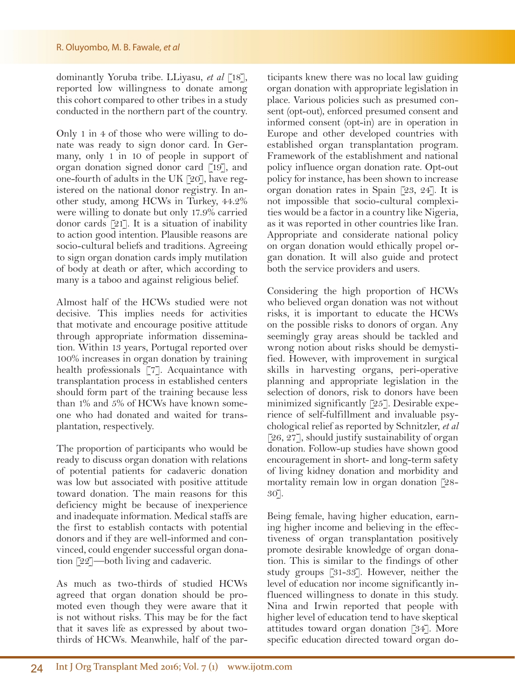#### R. Oluyombo, M. B. Fawale, *et al*

dominantly Yoruba tribe. LLiyasu, *et al* [18], reported low willingness to donate among this cohort compared to other tribes in a study conducted in the northern part of the country.

Only 1 in 4 of those who were willing to donate was ready to sign donor card. In Germany, only 1 in 10 of people in support of organ donation signed donor card [19], and one-fourth of adults in the UK [20], have registered on the national donor registry. In another study, among HCWs in Turkey, 44.2% were willing to donate but only 17.9% carried donor cards [21]. It is a situation of inability to action good intention. Plausible reasons are socio-cultural beliefs and traditions. Agreeing to sign organ donation cards imply mutilation of body at death or after, which according to many is a taboo and against religious belief.

Almost half of the HCWs studied were not decisive. This implies needs for activities that motivate and encourage positive attitude through appropriate information dissemination. Within 13 years, Portugal reported over 100% increases in organ donation by training health professionals [7]. Acquaintance with transplantation process in established centers should form part of the training because less than 1% and 5% of HCWs have known someone who had donated and waited for transplantation, respectively.

The proportion of participants who would be ready to discuss organ donation with relations of potential patients for cadaveric donation was low but associated with positive attitude toward donation. The main reasons for this deficiency might be because of inexperience and inadequate information. Medical staffs are the first to establish contacts with potential donors and if they are well-informed and convinced, could engender successful organ donation [22]—both living and cadaveric.

As much as two-thirds of studied HCWs agreed that organ donation should be promoted even though they were aware that it is not without risks. This may be for the fact that it saves life as expressed by about twothirds of HCWs. Meanwhile, half of the par-

ticipants knew there was no local law guiding organ donation with appropriate legislation in place. Various policies such as presumed consent (opt-out), enforced presumed consent and informed consent (opt-in) are in operation in Europe and other developed countries with established organ transplantation program. Framework of the establishment and national policy influence organ donation rate. Opt-out policy for instance, has been shown to increase organ donation rates in Spain [23, 24]. It is not impossible that socio-cultural complexities would be a factor in a country like Nigeria, as it was reported in other countries like Iran. Appropriate and considerate national policy on organ donation would ethically propel organ donation. It will also guide and protect both the service providers and users.

Considering the high proportion of HCWs who believed organ donation was not without risks, it is important to educate the HCWs on the possible risks to donors of organ. Any seemingly gray areas should be tackled and wrong notion about risks should be demystified. However, with improvement in surgical skills in harvesting organs, peri-operative planning and appropriate legislation in the selection of donors, risk to donors have been minimized significantly [25]. Desirable experience of self-fulfillment and invaluable psychological relief as reported by Schnitzler, *et al* [26, 27], should justify sustainability of organ donation. Follow-up studies have shown good encouragement in short- and long-term safety of living kidney donation and morbidity and mortality remain low in organ donation [28- 30].

Being female, having higher education, earning higher income and believing in the effectiveness of organ transplantation positively promote desirable knowledge of organ donation. This is similar to the findings of other study groups [31-33]. However, neither the level of education nor income significantly influenced willingness to donate in this study. Nina and Irwin reported that people with higher level of education tend to have skeptical attitudes toward organ donation [34]. More specific education directed toward organ do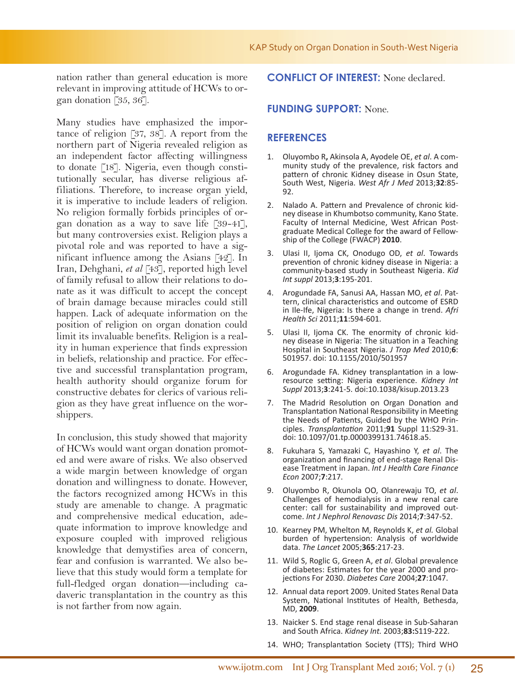nation rather than general education is more relevant in improving attitude of HCWs to organ donation [35, 36].

Many studies have emphasized the importance of religion [37, 38]. A report from the northern part of Nigeria revealed religion as an independent factor affecting willingness to donate [18]. Nigeria, even though constitutionally secular, has diverse religious affiliations. Therefore, to increase organ yield, it is imperative to include leaders of religion. No religion formally forbids principles of organ donation as a way to save life [39-41], but many controversies exist. Religion plays a pivotal role and was reported to have a significant influence among the Asians [42]. In Iran, Dehghani, *et al* [43], reported high level of family refusal to allow their relations to donate as it was difficult to accept the concept of brain damage because miracles could still happen. Lack of adequate information on the position of religion on organ donation could limit its invaluable benefits. Religion is a reality in human experience that finds expression in beliefs, relationship and practice. For effective and successful transplantation program, health authority should organize forum for constructive debates for clerics of various religion as they have great influence on the worshippers.

In conclusion, this study showed that majority of HCWs would want organ donation promoted and were aware of risks. We also observed a wide margin between knowledge of organ donation and willingness to donate. However, the factors recognized among HCWs in this study are amenable to change. A pragmatic and comprehensive medical education, adequate information to improve knowledge and exposure coupled with improved religious knowledge that demystifies area of concern, fear and confusion is warranted. We also believe that this study would form a template for full-fledged organ donation—including cadaveric transplantation in the country as this is not farther from now again.

### **CONFLICT OF INTEREST:** None declared.

## **FUNDING SUPPORT:** None.

#### **REFERENCES**

- 1. Oluyombo R**,** Akinsola A, Ayodele OE, *et al*. A community study of the prevalence, risk factors and pattern of chronic Kidney disease in Osun State, South West, Nigeria. *West Afr J Med* 2013;**32**:85- 92.
- 2. Nalado A. Pattern and Prevalence of chronic kid-<br>ney disease in Khumbotso community, Kano State.<br>Faculty of Internal Medicine, West African Postgraduate Medical College for the award of Fellow-<br>ship of the College (FWACP) **2010**.
- 3. Ulasi II, Ijoma CK, Onodugo OD, *et al*. Towards prevention of chronic kidney disease in Nigeria: a community-based study in Southeast Nigeria. *Kid Int suppl* 2013;**3**:195-201.
- 4. Arogundade FA, Sanusi AA, Hassan MO, *et al*. Pattern, clinical characteristics and outcome of ESRD in Ile-Ife, Nigeria: Is there a change in trend. *Afri Health Sci* 2011;**11**:594-601.
- 5. Ulasi II, Ijoma CK. The enormity of chronic kid- ney disease in Nigeria: The situation in a Teaching Hospital in Southeast Nigeria. *J Trop Med* 2010;**6**: 501957. doi: 10.1155/2010/501957
- 6. Arogundade FA. Kidney transplantation in a lowresource setting: Nigeria experience. *Kidney Int Suppl* 2013;**3**:241-5. doi:10.1038/kisup.2013.23
- 7. The Madrid Resolution on Organ Donation and Transplantation National Responsibility in Meeting the Needs of Patients, Guided by the WHO Principles. *Transplantation* 2011;**91** Suppl 11:S29-31. doi: 10.1097/01.tp.0000399131.74618.a5.
- 8. Fukuhara S, Yamazaki C, Hayashino Y, *et al*. The ease Treatment in Japan. *Int J Health Care Finance Econ* 2007;**7**:217.
- 9. Oluyombo R, Okunola OO, Olanrewaju TO, *et al*. Challenges of hemodialysis in a new renal care center: call for sustainability and improved outcome. *Int J Nephrol Renovasc Dis* 2014;**7**:347-52.
- 10. Kearney PM, Whelton M, Reynolds K, *et al.* Global burden of hypertension: Analysis of worldwide data. *The Lancet* 2005;**365**:217-23.
- 11. Wild S, Roglic G, Green A, *et al*. Global prevalence of diabetes: Estimates for the year 2000 and projections For 2030. *Diabetes Care* 2004;**27**:1047.
- 12. Annual data report 2009. United States Renal Data System, National Institutes of Health, Bethesda, MD, **2009**.
- 13. Naicker S. End stage renal disease in Sub-Saharan and South Africa. *Kidney Int.* 2003;**83:**S119-222.
- 14. WHO; Transplantation Society (TTS); Third WHO